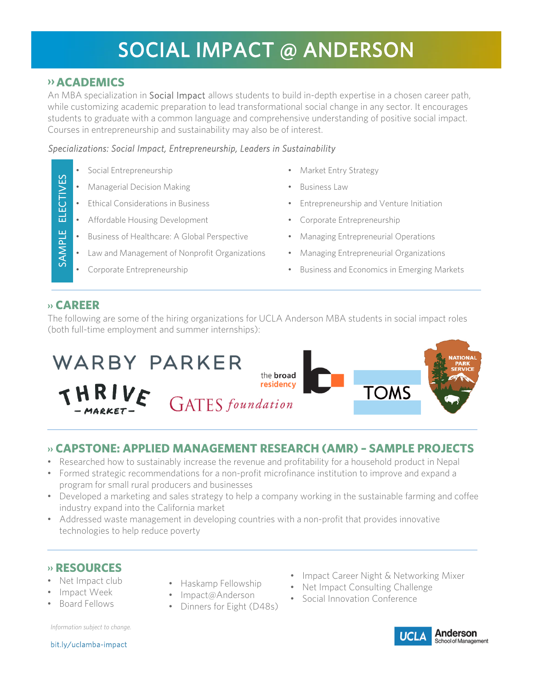# SOCIAL IMPACT @ ANDERSON

## **›› ACADEMICS**

An MBA specialization in Social Impact allows students to build in-depth expertise in a chosen career path, while customizing academic preparation to lead transformational social change in any sector. It encourages students to graduate with a common language and comprehensive understanding of positive social impact. Courses in entrepreneurship and sustainability may also be of interest.

### *Specializations: Social Impact, Entrepreneurship, Leaders in Sustainability*

- 
- **Managerial Decision Making Business Law**
- 
- Affordable Housing Development Corporate Entrepreneurship
- Business of Healthcare: A Global Perspective Managing Entrepreneurial Operations
- Law and Management of Nonprofit Organizations Managing Entrepreneurial Organizations
- 
- Social Entrepreneurship Market Entry Strategy
	-
- Ethical Considerations in Business Entrepreneurship and Venture Initiation
	-
	-
	-
- Corporate Entrepreneurship Business and Economics in Emerging Markets

## **›› CAREER**

SAMPLE ELECTIVES

SAMPLE

畐

ECTIVES

The following are some of the hiring organizations for UCLA Anderson MBA students in social impact roles (both full-time employment and summer internships):



## **›› CAPSTONE: APPLIED MANAGEMENT RESEARCH (AMR) – SAMPLE PROJECTS**

- Researched how to sustainably increase the revenue and profitability for a household product in Nepal
- Formed strategic recommendations for a non-profit microfinance institution to improve and expand a program for small rural producers and businesses
- Developed a marketing and sales strategy to help a company working in the sustainable farming and coffee industry expand into the California market
- Addressed waste management in developing countries with a non-profit that provides innovative technologies to help reduce poverty

## **›› RESOURCES**

- Net Impact club
- Impact Week
- Board Fellows
- Haskamp Fellowship
- Impact@Anderson
- Dinners for Eight (D48s)
- Impact Career Night & Networking Mixer
- Net Impact Consulting Challenge
- Social Innovation Conference

*Information subject to change.* 



bit.ly/uclamba-impact